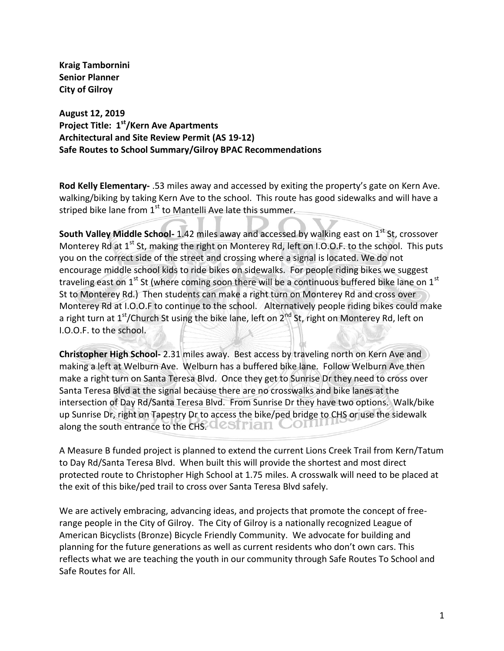**Kraig Tambornini Senior Planner City of Gilroy**

**August 12, 2019 Project Title: 1st/Kern Ave Apartments Architectural and Site Review Permit (AS 19-12) Safe Routes to School Summary/Gilroy BPAC Recommendations**

**Rod Kelly Elementary-** .53 miles away and accessed by exiting the property's gate on Kern Ave. walking/biking by taking Kern Ave to the school. This route has good sidewalks and will have a striped bike lane from  $1<sup>st</sup>$  to Mantelli Ave late this summer.

**South Valley Middle School-** 1.42 miles away and accessed by walking east on 1<sup>st</sup> St, crossover Monterey Rd at  $1<sup>st</sup>$  St, making the right on Monterey Rd, left on I.O.O.F. to the school. This puts you on the correct side of the street and crossing where a signal is located. We do not encourage middle school kids to ride bikes on sidewalks. For people riding bikes we suggest traveling east on  $1<sup>st</sup>$  St (where coming soon there will be a continuous buffered bike lane on  $1<sup>st</sup>$ St to Monterey Rd.) Then students can make a right turn on Monterey Rd and cross over Monterey Rd at I.O.O.F to continue to the school. Alternatively people riding bikes could make a right turn at  $1<sup>st</sup>/$ Church St using the bike lane, left on  $2<sup>nd</sup>$  St, right on Monterey Rd, left on I.O.O.F. to the school.

**Christopher High School-** 2.31 miles away. Best access by traveling north on Kern Ave and making a left at Welburn Ave. Welburn has a buffered bike lane. Follow Welburn Ave then make a right turn on Santa Teresa Blvd. Once they get to Sunrise Dr they need to cross over Santa Teresa Blvd at the signal because there are no crosswalks and bike lanes at the intersection of Day Rd/Santa Teresa Blvd. From Sunrise Dr they have two options. Walk/bike up Sunrise Dr, right on Tapestry Dr to access the bike/ped bridge to CHS or use the sidewalk along the south entrance to the CHS. CCSTTIAN COLL

A Measure B funded project is planned to extend the current Lions Creek Trail from Kern/Tatum to Day Rd/Santa Teresa Blvd. When built this will provide the shortest and most direct protected route to Christopher High School at 1.75 miles. A crosswalk will need to be placed at the exit of this bike/ped trail to cross over Santa Teresa Blvd safely.

We are actively embracing, advancing ideas, and projects that promote the concept of freerange people in the City of Gilroy. The City of Gilroy is a nationally recognized League of American Bicyclists (Bronze) Bicycle Friendly Community. We advocate for building and planning for the future generations as well as current residents who don't own cars. This reflects what we are teaching the youth in our community through Safe Routes To School and Safe Routes for All.